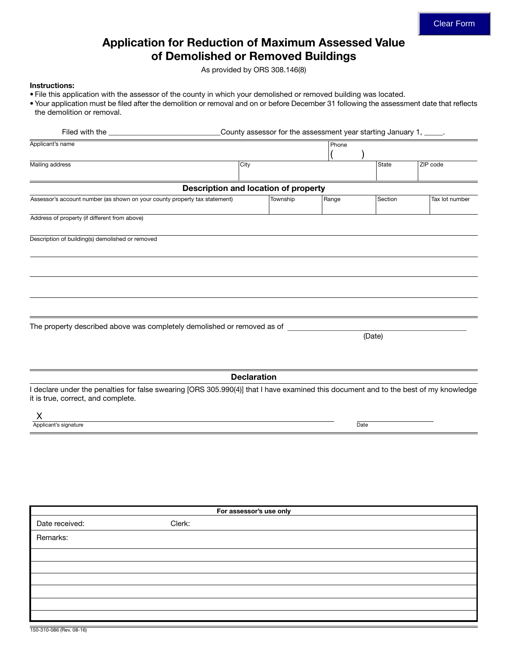# Application for Reduction of Maximum Assessed Value of Demolished or Removed Buildings

As provided by ORS 308.146(8)

#### Instructions:

- File this application with the assessor of the county in which your demolished or removed building was located.
- Your application must be filed after the demolition or removal and on or before December 31 following the assessment date that reflects the demolition or removal.

| Filed with the ____________                                                                                                                                                |                                             | County assessor for the assessment year starting January 1, _____. |       |              |                |
|----------------------------------------------------------------------------------------------------------------------------------------------------------------------------|---------------------------------------------|--------------------------------------------------------------------|-------|--------------|----------------|
| Applicant's name                                                                                                                                                           |                                             |                                                                    | Phone |              |                |
| Mailing address                                                                                                                                                            | City                                        |                                                                    |       | <b>State</b> | ZIP code       |
|                                                                                                                                                                            |                                             |                                                                    |       |              |                |
|                                                                                                                                                                            | <b>Description and location of property</b> |                                                                    |       |              |                |
| Assessor's account number (as shown on your county property tax statement)                                                                                                 |                                             | Township                                                           | Range | Section      | Tax lot number |
| Address of property (if different from above)                                                                                                                              |                                             |                                                                    |       |              |                |
| Description of building(s) demolished or removed                                                                                                                           |                                             |                                                                    |       |              |                |
|                                                                                                                                                                            |                                             |                                                                    |       |              |                |
|                                                                                                                                                                            |                                             |                                                                    |       |              |                |
|                                                                                                                                                                            |                                             |                                                                    |       |              |                |
|                                                                                                                                                                            |                                             |                                                                    |       |              |                |
| The property described above was completely demolished or removed as of _                                                                                                  |                                             |                                                                    |       |              |                |
|                                                                                                                                                                            |                                             |                                                                    |       | (Date)       |                |
|                                                                                                                                                                            |                                             |                                                                    |       |              |                |
|                                                                                                                                                                            |                                             |                                                                    |       |              |                |
|                                                                                                                                                                            |                                             | <b>Declaration</b>                                                 |       |              |                |
| I declare under the penalties for false swearing [ORS 305.990(4)] that I have examined this document and to the best of my knowledge<br>it is true, correct, and complete. |                                             |                                                                    |       |              |                |
| X                                                                                                                                                                          |                                             |                                                                    |       |              |                |
| Applicant's signature                                                                                                                                                      |                                             |                                                                    | Date  |              |                |
|                                                                                                                                                                            |                                             |                                                                    |       |              |                |
|                                                                                                                                                                            |                                             |                                                                    |       |              |                |
|                                                                                                                                                                            |                                             |                                                                    |       |              |                |
|                                                                                                                                                                            |                                             |                                                                    |       |              |                |
|                                                                                                                                                                            |                                             |                                                                    |       |              |                |
|                                                                                                                                                                            |                                             | For assessor's use only                                            |       |              |                |
| Date received:                                                                                                                                                             | Clerk:                                      |                                                                    |       |              |                |
| Remarks:                                                                                                                                                                   |                                             |                                                                    |       |              |                |